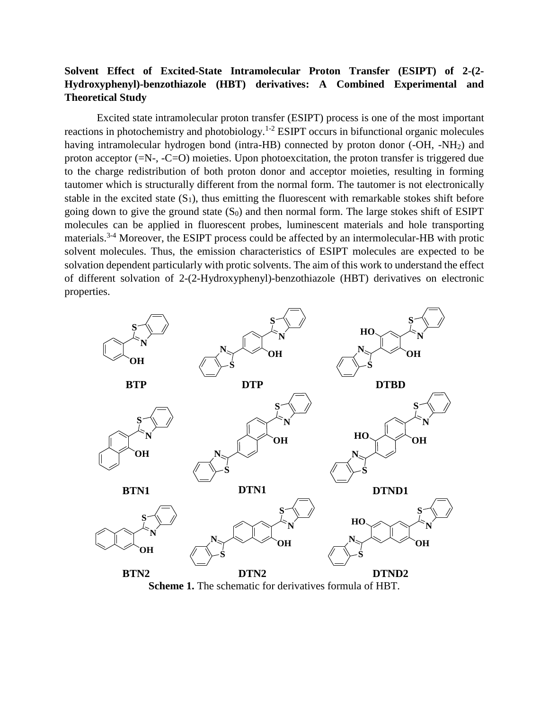## **Solvent Effect of Excited-State Intramolecular Proton Transfer (ESIPT) of 2-(2- Hydroxyphenyl)-benzothiazole (HBT) derivatives: A Combined Experimental and Theoretical Study**

Excited state intramolecular proton transfer (ESIPT) process is one of the most important reactions in photochemistry and photobiology.<sup>1-2</sup> ESIPT occurs in bifunctional organic molecules having intramolecular hydrogen bond (intra-HB) connected by proton donor (-OH, -NH<sub>2</sub>) and proton acceptor (=N-, -C=O) moieties. Upon photoexcitation, the proton transfer is triggered due to the charge redistribution of both proton donor and acceptor moieties, resulting in forming tautomer which is structurally different from the normal form. The tautomer is not electronically stable in the excited state  $(S_1)$ , thus emitting the fluorescent with remarkable stokes shift before going down to give the ground state  $(S_0)$  and then normal form. The large stokes shift of ESIPT molecules can be applied in fluorescent probes, luminescent materials and hole transporting materials.<sup>3-4</sup> Moreover, the ESIPT process could be affected by an intermolecular-HB with protic solvent molecules. Thus, the emission characteristics of ESIPT molecules are expected to be solvation dependent particularly with protic solvents. The aim of this work to understand the effect of different solvation of 2-(2-Hydroxyphenyl)-benzothiazole (HBT) derivatives on electronic properties.



**Scheme 1.** The schematic for derivatives formula of HBT.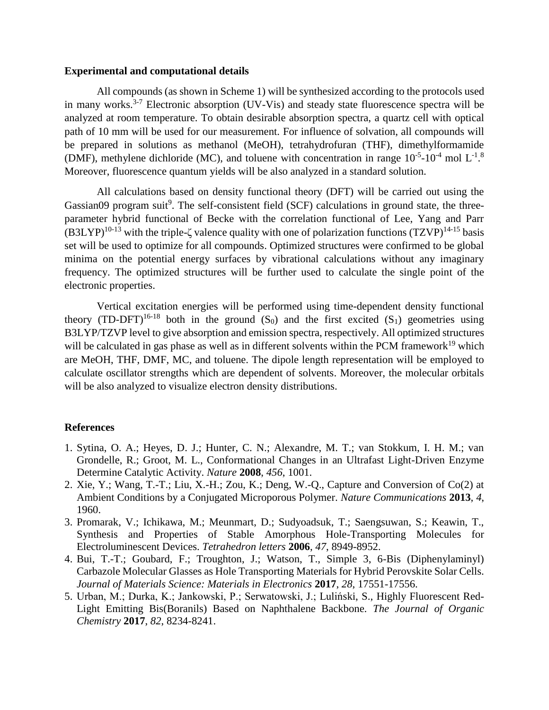## **Experimental and computational details**

All compounds (as shown in Scheme 1) will be synthesized according to the protocols used in many works.<sup>3-7</sup> Electronic absorption (UV-Vis) and steady state fluorescence spectra will be analyzed at room temperature. To obtain desirable absorption spectra, a quartz cell with optical path of 10 mm will be used for our measurement. For influence of solvation, all compounds will be prepared in solutions as methanol (MeOH), tetrahydrofuran (THF), dimethylformamide (DMF), methylene dichloride (MC), and toluene with concentration in range  $10^{-5}$ - $10^{-4}$  mol L<sup>-1</sup>.<sup>8</sup> Moreover, fluorescence quantum yields will be also analyzed in a standard solution.

All calculations based on density functional theory (DFT) will be carried out using the Gassian09 program suit<sup>9</sup>. The self-consistent field (SCF) calculations in ground state, the threeparameter hybrid functional of Becke with the correlation functional of Lee, Yang and Parr  $(B3LYP)^{10-13}$  with the triple- $\zeta$  valence quality with one of polarization functions  $(TZVP)^{14-15}$  basis set will be used to optimize for all compounds. Optimized structures were confirmed to be global minima on the potential energy surfaces by vibrational calculations without any imaginary frequency. The optimized structures will be further used to calculate the single point of the electronic properties.

Vertical excitation energies will be performed using time-dependent density functional theory (TD-DFT)<sup>16-18</sup> both in the ground  $(S_0)$  and the first excited  $(S_1)$  geometries using B3LYP/TZVP level to give absorption and emission spectra, respectively. All optimized structures will be calculated in gas phase as well as in different solvents within the PCM framework<sup>19</sup> which are MeOH, THF, DMF, MC, and toluene. The dipole length representation will be employed to calculate oscillator strengths which are dependent of solvents. Moreover, the molecular orbitals will be also analyzed to visualize electron density distributions.

## **References**

- 1. Sytina, O. A.; Heyes, D. J.; Hunter, C. N.; Alexandre, M. T.; van Stokkum, I. H. M.; van Grondelle, R.; Groot, M. L., Conformational Changes in an Ultrafast Light-Driven Enzyme Determine Catalytic Activity. *Nature* **2008**, *456*, 1001.
- 2. Xie, Y.; Wang, T.-T.; Liu, X.-H.; Zou, K.; Deng, W.-Q., Capture and Conversion of Co(2) at Ambient Conditions by a Conjugated Microporous Polymer. *Nature Communications* **2013**, *4*, 1960.
- 3. Promarak, V.; Ichikawa, M.; Meunmart, D.; Sudyoadsuk, T.; Saengsuwan, S.; Keawin, T., Synthesis and Properties of Stable Amorphous Hole-Transporting Molecules for Electroluminescent Devices. *Tetrahedron letters* **2006**, *47*, 8949-8952.
- 4. Bui, T.-T.; Goubard, F.; Troughton, J.; Watson, T., Simple 3, 6-Bis (Diphenylaminyl) Carbazole Molecular Glasses as Hole Transporting Materials for Hybrid Perovskite Solar Cells. *Journal of Materials Science: Materials in Electronics* **2017**, *28*, 17551-17556.
- 5. Urban, M.; Durka, K.; Jankowski, P.; Serwatowski, J.; Luliński, S., Highly Fluorescent Red-Light Emitting Bis(Boranils) Based on Naphthalene Backbone. *The Journal of Organic Chemistry* **2017**, *82*, 8234-8241.